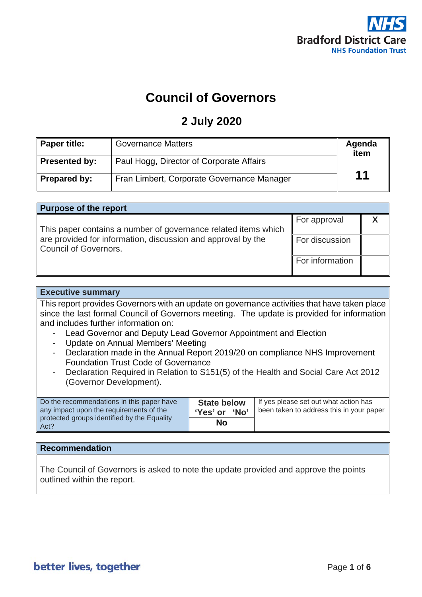

# **Council of Governors**

### **2 July 2020**

| Paper title:        | <b>Governance Matters</b>                  | Agenda<br>item |
|---------------------|--------------------------------------------|----------------|
| Presented by:       | Paul Hogg, Director of Corporate Affairs   |                |
| <b>Prepared by:</b> | Fran Limbert, Corporate Governance Manager | 11             |

| <b>Purpose of the report</b>                                   |                       |  |  |
|----------------------------------------------------------------|-----------------------|--|--|
|                                                                | For approval          |  |  |
| This paper contains a number of governance related items which |                       |  |  |
| are provided for information, discussion and approval by the   | <b>For discussion</b> |  |  |
| Council of Governors.                                          |                       |  |  |
|                                                                | For information       |  |  |
|                                                                |                       |  |  |

#### **Executive summary**

This report provides Governors with an update on governance activities that have taken place since the last formal Council of Governors meeting. The update is provided for information and includes further information on:

- Lead Governor and Deputy Lead Governor Appointment and Election
- Update on Annual Members' Meeting
- Declaration made in the Annual Report 2019/20 on compliance NHS Improvement Foundation Trust Code of Governance
- Declaration Required in Relation to S151(5) of the Health and Social Care Act 2012 (Governor Development).

| Do the recommendations in this paper have<br>any impact upon the requirements of the | <b>State below</b><br>ʻNo'<br>'Yes' or | If yes please set out what action has<br>been taken to address this in your paper |
|--------------------------------------------------------------------------------------|----------------------------------------|-----------------------------------------------------------------------------------|
| protected groups identified by the Equality<br>Act?                                  | No                                     |                                                                                   |

### **Recommendation**

The Council of Governors is asked to note the update provided and approve the points outlined within the report.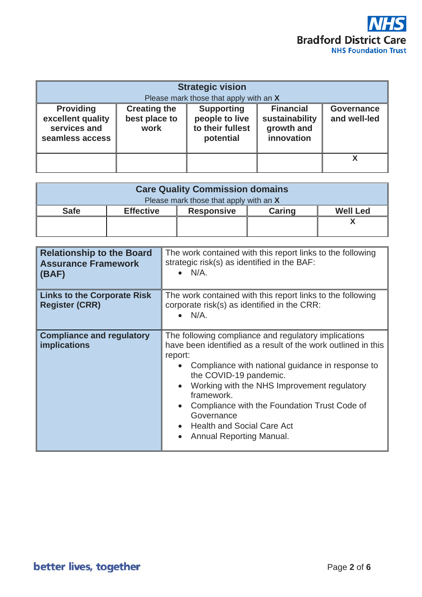

| <b>Strategic vision</b><br>Please mark those that apply with an X        |                                              |                                                                      |                                                                |                                   |
|--------------------------------------------------------------------------|----------------------------------------------|----------------------------------------------------------------------|----------------------------------------------------------------|-----------------------------------|
| <b>Providing</b><br>excellent quality<br>services and<br>seamless access | <b>Creating the</b><br>best place to<br>work | <b>Supporting</b><br>people to live<br>to their fullest<br>potential | <b>Financial</b><br>sustainability<br>growth and<br>innovation | <b>Governance</b><br>and well-led |
|                                                                          |                                              |                                                                      |                                                                |                                   |

| <b>Care Quality Commission domains</b> |                  |                   |               |                 |
|----------------------------------------|------------------|-------------------|---------------|-----------------|
| Please mark those that apply with an X |                  |                   |               |                 |
| <b>Safe</b>                            | <b>Effective</b> | <b>Responsive</b> | <b>Caring</b> | <b>Well Led</b> |
|                                        |                  |                   |               |                 |
|                                        |                  |                   |               |                 |

| <b>Relationship to the Board</b><br><b>Assurance Framework</b><br>(BAF) | The work contained with this report links to the following<br>strategic risk(s) as identified in the BAF:<br>$\bullet$ N/A.                                                                                                                                                                                                                                                                                                                                    |
|-------------------------------------------------------------------------|----------------------------------------------------------------------------------------------------------------------------------------------------------------------------------------------------------------------------------------------------------------------------------------------------------------------------------------------------------------------------------------------------------------------------------------------------------------|
| <b>Links to the Corporate Risk</b><br><b>Register (CRR)</b>             | The work contained with this report links to the following<br>corporate risk(s) as identified in the CRR:<br>$N/A$ .                                                                                                                                                                                                                                                                                                                                           |
| <b>Compliance and regulatory</b><br><b>implications</b>                 | The following compliance and regulatory implications<br>have been identified as a result of the work outlined in this<br>report:<br>Compliance with national guidance in response to<br>the COVID-19 pandemic.<br>Working with the NHS Improvement regulatory<br>$\bullet$<br>framework.<br>Compliance with the Foundation Trust Code of<br>$\bullet$<br>Governance<br><b>Health and Social Care Act</b><br>$\bullet$<br>Annual Reporting Manual.<br>$\bullet$ |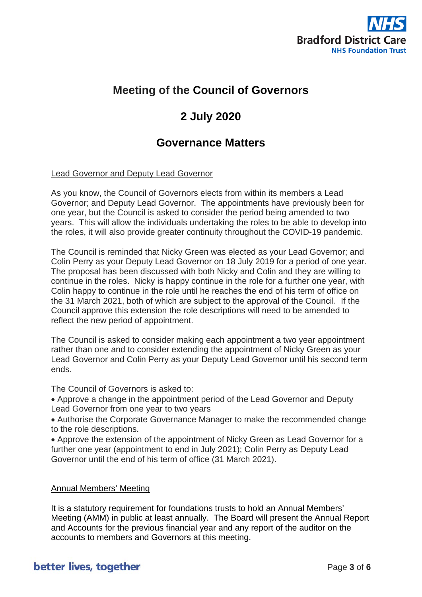

### **Meeting of the Council of Governors**

## **2 July 2020**

### **Governance Matters**

### Lead Governor and Deputy Lead Governor

As you know, the Council of Governors elects from within its members a Lead Governor; and Deputy Lead Governor. The appointments have previously been for one year, but the Council is asked to consider the period being amended to two years. This will allow the individuals undertaking the roles to be able to develop into the roles, it will also provide greater continuity throughout the COVID-19 pandemic.

The Council is reminded that Nicky Green was elected as your Lead Governor; and Colin Perry as your Deputy Lead Governor on 18 July 2019 for a period of one year. The proposal has been discussed with both Nicky and Colin and they are willing to continue in the roles. Nicky is happy continue in the role for a further one year, with Colin happy to continue in the role until he reaches the end of his term of office on the 31 March 2021, both of which are subject to the approval of the Council. If the Council approve this extension the role descriptions will need to be amended to reflect the new period of appointment.

The Council is asked to consider making each appointment a two year appointment rather than one and to consider extending the appointment of Nicky Green as your Lead Governor and Colin Perry as your Deputy Lead Governor until his second term ends.

The Council of Governors is asked to:

• Approve a change in the appointment period of the Lead Governor and Deputy Lead Governor from one year to two years

• Authorise the Corporate Governance Manager to make the recommended change to the role descriptions.

• Approve the extension of the appointment of Nicky Green as Lead Governor for a further one year (appointment to end in July 2021); Colin Perry as Deputy Lead Governor until the end of his term of office (31 March 2021).

### Annual Members' Meeting

It is a statutory requirement for foundations trusts to hold an Annual Members' Meeting (AMM) in public at least annually. The Board will present the Annual Report and Accounts for the previous financial year and any report of the auditor on the accounts to members and Governors at this meeting.

### better lives, together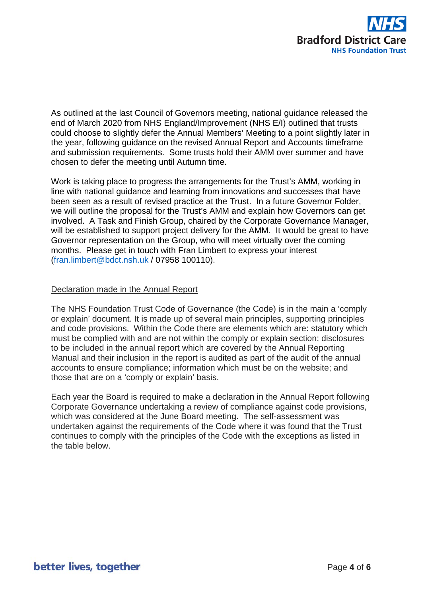

As outlined at the last Council of Governors meeting, national guidance released the end of March 2020 from NHS England/Improvement (NHS E/I) outlined that trusts could choose to slightly defer the Annual Members' Meeting to a point slightly later in the year, following guidance on the revised Annual Report and Accounts timeframe and submission requirements. Some trusts hold their AMM over summer and have chosen to defer the meeting until Autumn time.

Work is taking place to progress the arrangements for the Trust's AMM, working in line with national guidance and learning from innovations and successes that have been seen as a result of revised practice at the Trust. In a future Governor Folder, we will outline the proposal for the Trust's AMM and explain how Governors can get involved. A Task and Finish Group, chaired by the Corporate Governance Manager, will be established to support project delivery for the AMM. It would be great to have Governor representation on the Group, who will meet virtually over the coming months. Please get in touch with Fran Limbert to express your interest [\(fran.limbert@bdct.nsh.uk](mailto:fran.limbert@bdct.nsh.uk) / 07958 100110).

#### Declaration made in the Annual Report

The NHS Foundation Trust Code of Governance (the Code) is in the main a 'comply or explain' document. It is made up of several main principles, supporting principles and code provisions. Within the Code there are elements which are: statutory which must be complied with and are not within the comply or explain section; disclosures to be included in the annual report which are covered by the Annual Reporting Manual and their inclusion in the report is audited as part of the audit of the annual accounts to ensure compliance; information which must be on the website; and those that are on a 'comply or explain' basis.

Each year the Board is required to make a declaration in the Annual Report following Corporate Governance undertaking a review of compliance against code provisions, which was considered at the June Board meeting. The self-assessment was undertaken against the requirements of the Code where it was found that the Trust continues to comply with the principles of the Code with the exceptions as listed in the table below.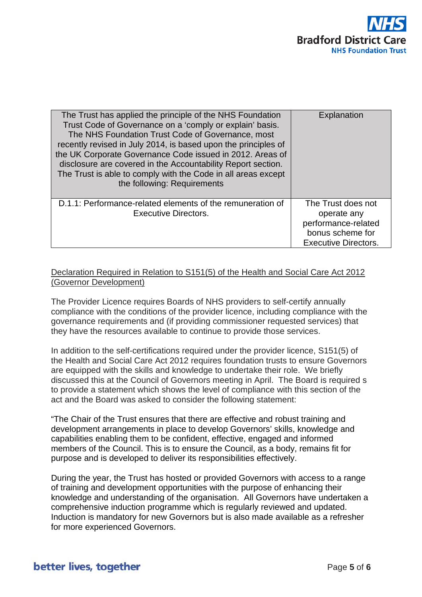

| The Trust has applied the principle of the NHS Foundation<br>Trust Code of Governance on a 'comply or explain' basis.<br>The NHS Foundation Trust Code of Governance, most<br>recently revised in July 2014, is based upon the principles of<br>the UK Corporate Governance Code issued in 2012. Areas of<br>disclosure are covered in the Accountability Report section.<br>The Trust is able to comply with the Code in all areas except<br>the following: Requirements | Explanation                                                                                                 |
|---------------------------------------------------------------------------------------------------------------------------------------------------------------------------------------------------------------------------------------------------------------------------------------------------------------------------------------------------------------------------------------------------------------------------------------------------------------------------|-------------------------------------------------------------------------------------------------------------|
| D.1.1: Performance-related elements of the remuneration of<br><b>Executive Directors.</b>                                                                                                                                                                                                                                                                                                                                                                                 | The Trust does not<br>operate any<br>performance-related<br>bonus scheme for<br><b>Executive Directors.</b> |

#### Declaration Required in Relation to S151(5) of the Health and Social Care Act 2012 (Governor Development)

The Provider Licence requires Boards of NHS providers to self-certify annually compliance with the conditions of the provider licence, including compliance with the governance requirements and (if providing commissioner requested services) that they have the resources available to continue to provide those services.

In addition to the self-certifications required under the provider licence, S151(5) of the Health and Social Care Act 2012 requires foundation trusts to ensure Governors are equipped with the skills and knowledge to undertake their role. We briefly discussed this at the Council of Governors meeting in April. The Board is required s to provide a statement which shows the level of compliance with this section of the act and the Board was asked to consider the following statement:

"The Chair of the Trust ensures that there are effective and robust training and development arrangements in place to develop Governors' skills, knowledge and capabilities enabling them to be confident, effective, engaged and informed members of the Council. This is to ensure the Council, as a body, remains fit for purpose and is developed to deliver its responsibilities effectively.

During the year, the Trust has hosted or provided Governors with access to a range of training and development opportunities with the purpose of enhancing their knowledge and understanding of the organisation. All Governors have undertaken a comprehensive induction programme which is regularly reviewed and updated. Induction is mandatory for new Governors but is also made available as a refresher for more experienced Governors.